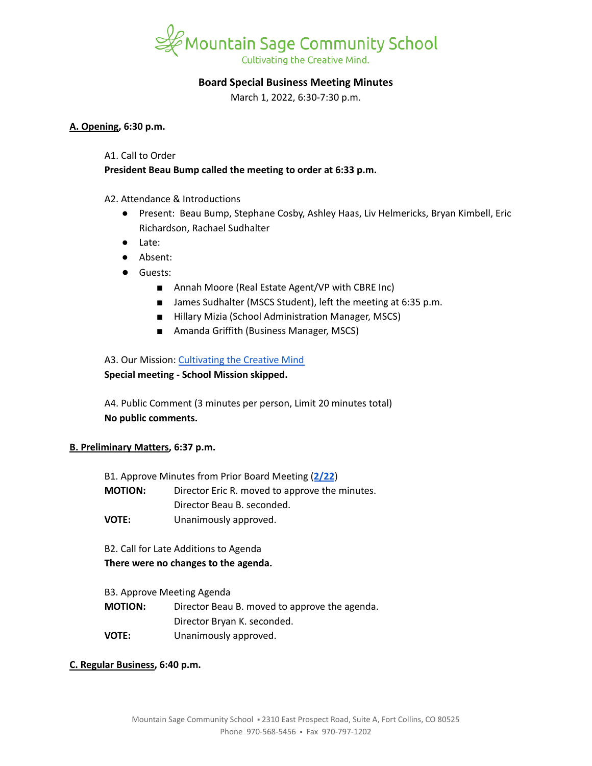

# **Board Special Business Meeting Minutes**

March 1, 2022, 6:30-7:30 p.m.

#### **A. Opening, 6:30 p.m.**

#### A1. Call to Order

# **President Beau Bump called the meeting to order at 6:33 p.m.**

## A2. Attendance & Introductions

- Present: Beau Bump, Stephane Cosby, Ashley Haas, Liv Helmericks, Bryan Kimbell, Eric Richardson, Rachael Sudhalter
- Late:
- Absent:
- Guests:
	- Annah Moore (Real Estate Agent/VP with CBRE Inc)
	- James Sudhalter (MSCS Student), left the meeting at 6:35 p.m.
	- Hillary Mizia (School Administration Manager, MSCS)
	- Amanda Griffith (Business Manager, MSCS)

## A3. Our Mission: [Cultivating](https://www.mountainsage.org/about-us/mission-and-vision/) the Creative Mind

## **Special meeting - School Mission skipped.**

A4. Public Comment (3 minutes per person, Limit 20 minutes total) **No public comments.**

## **B. Preliminary Matters, 6:37 p.m.**

| B1. Approve Minutes from Prior Board Meeting (2/22) |                                                |
|-----------------------------------------------------|------------------------------------------------|
| <b>MOTION:</b>                                      | Director Eric R. moved to approve the minutes. |
|                                                     | Director Beau B. seconded.                     |
|                                                     |                                                |

**VOTE:** Unanimously approved.

B2. Call for Late Additions to Agenda **There were no changes to the agenda.**

## B3. Approve Meeting Agenda

**MOTION:** Director Beau B. moved to approve the agenda. Director Bryan K. seconded. **VOTE:** Unanimously approved.

## **C. Regular Business, 6:40 p.m.**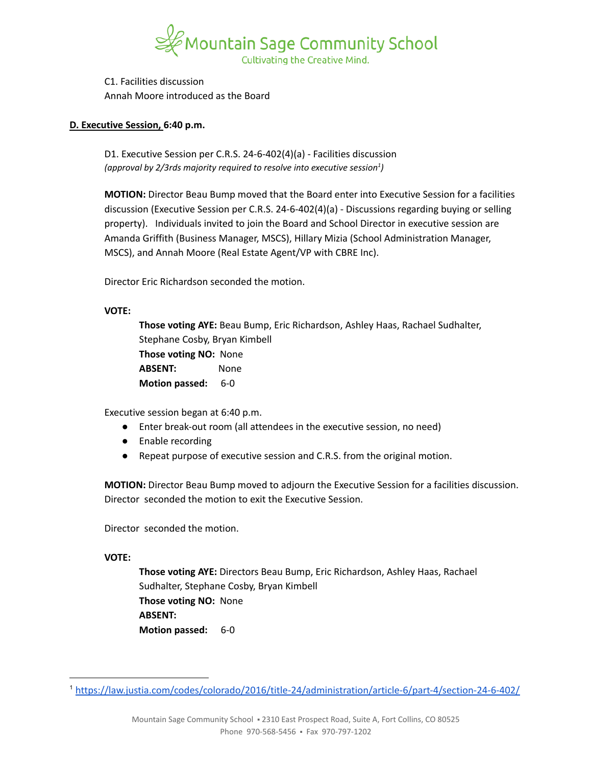

C1. Facilities discussion Annah Moore introduced as the Board

# **D. Executive Session, 6:40 p.m.**

D1. Executive Session per C.R.S. 24-6-402(4)(a) - Facilities discussion *(approval by 2/3rds majority required to resolve into executive session ) 1*

**MOTION:** Director Beau Bump moved that the Board enter into Executive Session for a facilities discussion (Executive Session per C.R.S. 24-6-402(4)(a) - Discussions regarding buying or selling property). Individuals invited to join the Board and School Director in executive session are Amanda Griffith (Business Manager, MSCS), Hillary Mizia (School Administration Manager, MSCS), and Annah Moore (Real Estate Agent/VP with CBRE Inc).

Director Eric Richardson seconded the motion.

# **VOTE:**

**Those voting AYE:** Beau Bump, Eric Richardson, Ashley Haas, Rachael Sudhalter, Stephane Cosby, Bryan Kimbell **Those voting NO:** None **ABSENT:** None **Motion passed:** 6-0

Executive session began at 6:40 p.m.

- Enter break-out room (all attendees in the executive session, no need)
- Enable recording
- Repeat purpose of executive session and C.R.S. from the original motion.

**MOTION:** Director Beau Bump moved to adjourn the Executive Session for a facilities discussion. Director seconded the motion to exit the Executive Session.

Director seconded the motion.

**VOTE:**

**Those voting AYE:** Directors Beau Bump, Eric Richardson, Ashley Haas, Rachael Sudhalter, Stephane Cosby, Bryan Kimbell **Those voting NO:** None **ABSENT: Motion passed:** 6-0

<sup>1</sup> <https://law.justia.com/codes/colorado/2016/title-24/administration/article-6/part-4/section-24-6-402/>